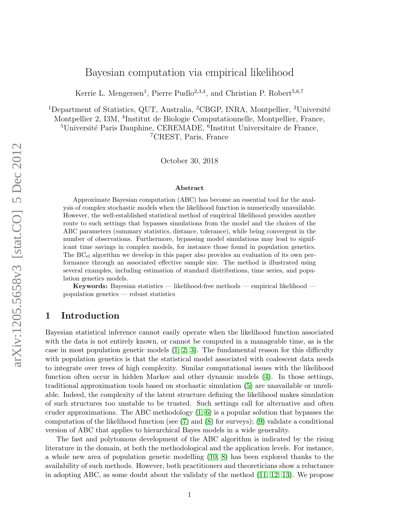# Bayesian computation via empirical likelihood

Kerrie L. Mengersen<sup>1</sup>, Pierre Pudlo<sup>2,3,4</sup>, and Christian P. Robert<sup>5,6,7</sup>

<sup>1</sup>Department of Statistics, QUT, Australia, <sup>2</sup>CBGP, INRA, Montpellier, <sup>3</sup>Université

Montpellier 2, I3M, <sup>4</sup> Institut de Biologie Computationnelle, Montpellier, France,

 $^{5}$ Université Paris Dauphine, CEREMADE,  $^{6}$ Institut Universitaire de France,

<sup>7</sup>CREST, Paris, France

October 30, 2018

#### Abstract

Approximate Bayesian computation (ABC) has become an essential tool for the analysis of complex stochastic models when the likelihood function is numerically unavailable. However, the well-established statistical method of empirical likelihood provides another route to such settings that bypasses simulations from the model and the choices of the ABC parameters (summary statistics, distance, tolerance), while being convergent in the number of observations. Furthermore, bypassing model simulations may lead to significant time savings in complex models, for instance those found in population genetics. The  $BC_{el}$  algorithm we develop in this paper also provides an evaluation of its own performance through an associated effective sample size. The method is illustrated using several examples, including estimation of standard distributions, time series, and population genetics models.

Keywords: Bayesian statistics — likelihood-free methods — empirical likelihood population genetics — robust statistics

# 1 Introduction

Bayesian statistical inference cannot easily operate when the likelihood function associated with the data is not entirely known, or cannot be computed in a manageable time, as is the case in most population genetic models  $(1, 2, 3)$  $(1, 2, 3)$  $(1, 2, 3)$ . The fundamental reason for this difficulty with population genetics is that the statistical model associated with coalescent data needs to integrate over trees of high complexity. Similar computational issues with the likelihood function often occur in hidden Markov and other dynamic models [\(4\)](#page-11-3). In those settings, traditional approximation tools based on stochastic simulation [\(5\)](#page-11-4) are unavailable or unreliable. Indeed, the complexity of the latent structure defining the likelihood makes simulation of such structures too unstable to be trusted. Such settings call for alternative and often cruder approximations. The ABC methodology  $(1, 6)$  $(1, 6)$  is a popular solution that bypasses the computation of the likelihood function (see [\(7\)](#page-11-6) and [\(8\)](#page-11-7) for surveys); [\(9\)](#page-11-8) validate a conditional version of ABC that applies to hierarchical Bayes models in a wide generality.

The fast and polytomous development of the ABC algorithm is indicated by the rising literature in the domain, at both the methodological and the application levels. For instance, a whole new area of population genetic modelling [\(10,](#page-11-9) [8\)](#page-11-7) has been explored thanks to the availability of such methods. However, both practitioners and theoreticians show a reluctance in adopting ABC, as some doubt about the validaty of the method [\(11,](#page-11-10) [12,](#page-11-11) [13\)](#page-11-12). We propose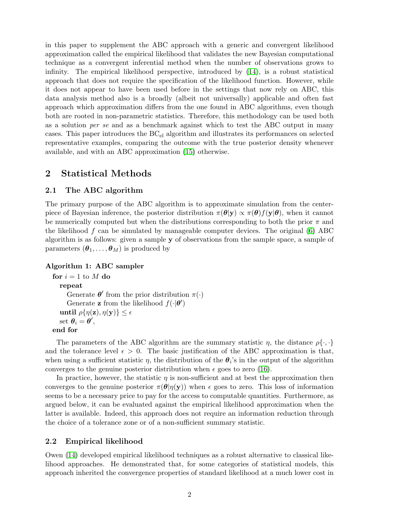in this paper to supplement the ABC approach with a generic and convergent likelihood approximation called the empirical likelihood that validates the new Bayesian computational technique as a convergent inferential method when the number of observations grows to infinity. The empirical likelihood perspective, introduced by [\(14\)](#page-11-13), is a robust statistical approach that does not require the specification of the likelihood function. However, while it does not appear to have been used before in the settings that now rely on ABC, this data analysis method also is a broadly (albeit not universally) applicable and often fast approach which approximation differs from the one found in ABC algorithms, even though both are rooted in non-parametric statistics. Therefore, this methodology can be used both as a solution per se and as a benchmark against which to test the ABC output in many cases. This paper introduces the  $BC_{el}$  algorithm and illustrates its performances on selected representative examples, comparing the outcome with the true posterior density whenever available, and with an ABC approximation [\(15\)](#page-11-14) otherwise.

## 2 Statistical Methods

### 2.1 The ABC algorithm

The primary purpose of the ABC algorithm is to approximate simulation from the centerpiece of Bayesian inference, the posterior distribution  $\pi(\theta|\mathbf{y}) \propto \pi(\theta)f(\mathbf{y}|\theta)$ , when it cannot be numerically computed but when the distributions corresponding to both the prior  $\pi$  and the likelihood  $f$  can be simulated by manageable computer devices. The original  $(6)$  ABC algorithm is as follows: given a sample  $\bf{y}$  of observations from the sample space, a sample of parameters  $(\boldsymbol{\theta}_1, \ldots, \boldsymbol{\theta}_M)$  is produced by

### Algorithm 1: ABC sampler

```
for i = 1 to M do
repeat
    Generate \boldsymbol{\theta}' from the prior distribution \pi(\cdot)Generate z from the likelihood f(\cdot|\theta')until \rho{\eta(\mathbf{z}), \eta(\mathbf{y})} \leq \epsilon\operatorname{set} \theta_i = \theta',end for
```
The parameters of the ABC algorithm are the summary statistic  $\eta$ , the distance  $\rho\{\cdot,\cdot\}$ and the tolerance level  $\epsilon > 0$ . The basic justification of the ABC approximation is that, when using a sufficient statistic  $\eta$ , the distribution of the  $\theta_i$ 's in the output of the algorithm converges to the genuine posterior distribution when  $\epsilon$  goes to zero [\(16\)](#page-11-15).

In practice, however, the statistic  $\eta$  is non-sufficient and at best the approximation then converges to the genuine posterior  $\pi(\theta|\eta(y))$  when  $\epsilon$  goes to zero. This loss of information seems to be a necessary price to pay for the access to computable quantities. Furthermore, as argued below, it can be evaluated against the empirical likelihood approximation when the latter is available. Indeed, this approach does not require an information reduction through the choice of a tolerance zone or of a non-sufficient summary statistic.

### 2.2 Empirical likelihood

Owen [\(14\)](#page-11-13) developed empirical likelihood techniques as a robust alternative to classical likelihood approaches. He demonstrated that, for some categories of statistical models, this approach inherited the convergence properties of standard likelihood at a much lower cost in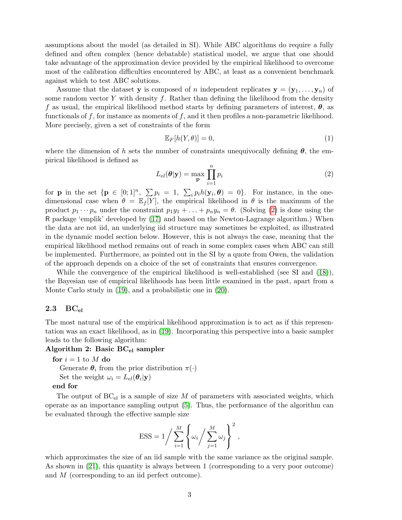assumptions about the model (as detailed in SI). While ABC algorithms do require a fully defined and often complex (hence debatable) statistical model, we argue that one should take advantage of the approximation device provided by the empirical likelihood to overcome most of the calibration difficulties encountered by ABC, at least as a convenient benchmark against which to test ABC solutions.

Assume that the dataset y is composed of n independent replicates  $y = (y_1, \ldots, y_n)$  of some random vector Y with density  $f$ . Rather than defining the likelihood from the density f as usual, the empirical likelihood method starts by defining parameters of interest,  $\theta$ , as functionals of  $f$ , for instance as moments of  $f$ , and it then profiles a non-parametric likelihood. More precisely, given a set of constraints of the form

<span id="page-2-1"></span>
$$
\mathbb{E}_F[h(Y,\theta)] = 0,\tag{1}
$$

where the dimension of h sets the number of constraints unequivocally defining  $\theta$ , the empirical likelihood is defined as

<span id="page-2-0"></span>
$$
L_{el}(\boldsymbol{\theta}|\mathbf{y}) = \max_{\mathbf{p}} \prod_{i=1}^{n} p_i
$$
 (2)

for **p** in the set  $\{p \in [0;1]^n, \sum p_i = 1, \sum_i p_i h(y_i, \theta) = 0\}$ . For instance, in the onedimensional case when  $\theta = \mathbb{E}_f[Y]$ , the empirical likelihood in  $\theta$  is the maximum of the product  $p_1 \cdots p_n$  under the constraint  $p_1y_1 + \ldots + p_ny_n = \theta$ . (Solving [\(2\)](#page-2-0) is done using the R package 'emplik' developed by [\(17\)](#page-12-0) and based on the Newton-Lagrange algorithm.) When the data are not iid, an underlying iid structure may sometimes be exploited, as illustrated in the dynamic model section below. However, this is not always the case, meaning that the empirical likelihood method remains out of reach in some complex cases when ABC can still be implemented. Furthermore, as pointed out in the SI by a quote from Owen, the validation of the approach depends on a choice of the set of constraints that ensures convergence.

While the convergence of the empirical likelihood is well-established (see SI and  $(18)$ ), the Bayesian use of empirical likelihoods has been little examined in the past, apart from a Monte Carlo study in [\(19\)](#page-12-2), and a probabilistic one in [\(20\)](#page-12-3).

### $2.3\quad \mathrm{BC}_{\mathrm{el}}$

The most natural use of the empirical likelihood approximation is to act as if this representation was an exact likelihood, as in [\(19\)](#page-12-2). Incorporating this perspective into a basic sampler leads to the following algorithm:

### Algorithm 2: Basic  $BC_{el}$  sampler

for  $i = 1$  to M do

Generate  $\theta_i$  from the prior distribution  $\pi(\cdot)$ 

Set the weight  $\omega_i = L_{el}(\theta_i|\mathbf{y})$ 

#### end for

The output of  $BC_{el}$  is a sample of size M of parameters with associated weights, which operate as an importance sampling output [\(5\)](#page-11-4). Thus, the performance of the algorithm can be evaluated through the effective sample size

$$
ESS = 1 / \sum_{i=1}^{M} \left\{ \omega_i / \sum_{j=1}^{M} \omega_j \right\}^2,
$$

which approximates the size of an iid sample with the same variance as the original sample. As shown in [\(21\)](#page-12-4), this quantity is always between 1 (corresponding to a very poor outcome) and M (corresponding to an iid perfect outcome).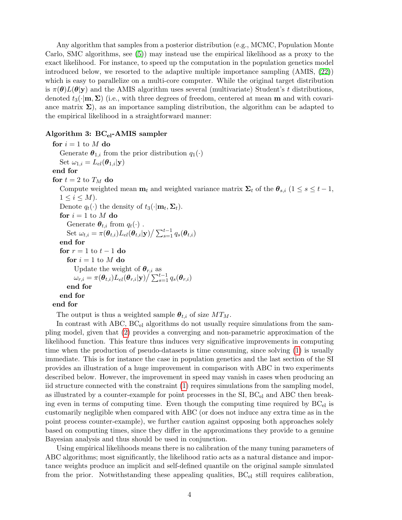Any algorithm that samples from a posterior distribution (e.g., MCMC, Population Monte Carlo, SMC algorithms, see [\(5\)](#page-11-4)) may instead use the empirical likelihood as a proxy to the exact likelihood. For instance, to speed up the computation in the population genetics model introduced below, we resorted to the adaptive multiple importance sampling (AMIS, [\(22\)](#page-12-5)) which is easy to parallelize on a multi-core computer. While the original target distribution is  $\pi(\theta)L(\theta|\mathbf{y})$  and the AMIS algorithm uses several (multivariate) Student's t distributions, denoted  $t_3(\cdot | \mathbf{m}, \Sigma)$  (i.e., with three degrees of freedom, centered at mean **m** and with covariance matrix  $\Sigma$ ), as an importance sampling distribution, the algorithm can be adapted to the empirical likelihood in a straightforward manner:

### Algorithm 3:  $BC_{el}$ -AMIS sampler

for  $i = 1$  to M do Generate  $\boldsymbol{\theta}_{1,i}$  from the prior distribution  $q_1(\cdot)$ Set  $\omega_{1,i} = L_{el}(\boldsymbol{\theta}_{1,i}|\mathbf{y})$ end for for  $t = 2$  to  $T_M$  do Compute weighted mean  $\mathbf{m}_t$  and weighted variance matrix  $\mathbf{\Sigma}_t$  of the  $\boldsymbol{\theta}_{s,i}$  ( $1 \leq s \leq t-1$ ,  $1 \leq i \leq M$ ). Denote  $q_t(\cdot)$  the density of  $t_3(\cdot | \mathbf{m}_t, \mathbf{\Sigma}_t)$ . for  $i = 1$  to M do Generate  $\boldsymbol{\theta}_{t,i}$  from  $q_t(\cdot)$ . Set  $\omega_{t,i} = \pi(\boldsymbol{\theta}_{t,i}) L_{el}(\boldsymbol{\theta}_{t,i}|\mathbf{y}) / \sum_{s=1}^{t-1} q_s(\boldsymbol{\theta}_{t,i})$ end for for  $r = 1$  to  $t - 1$  do for  $i = 1$  to M do Update the weight of  $\theta_{r,i}$  as  $\omega_{r,i} = \pi(\boldsymbol{\theta}_{t,i}) L_{el}(\boldsymbol{\theta}_{r,i}|\mathbf{y}) \big/ \sum_{s=1}^{t-1} q_s(\boldsymbol{\theta}_{r,i})$ end for end for end for

The output is thus a weighted sample  $\theta_{t,i}$  of size  $MT_M$ .

In contrast with ABC,  $BC_{el}$  algorithms do not usually require simulations from the sampling model, given that [\(2\)](#page-2-0) provides a converging and non-parametric approximation of the likelihood function. This feature thus induces very significative improvements in computing time when the production of pseudo-datasets is time consuming, since solving [\(1\)](#page-2-1) is usually immediate. This is for instance the case in population genetics and the last section of the SI provides an illustration of a huge improvement in comparison with ABC in two experiments described below. However, the improvement in speed may vanish in cases when producing an iid structure connected with the constraint [\(1\)](#page-2-1) requires simulations from the sampling model, as illustrated by a counter-example for point processes in the  $SI$ ,  $BC_{el}$  and  $ABC$  then breaking even in terms of computing time. Even though the computing time required by  $BC_{el}$  is customarily negligible when compared with ABC (or does not induce any extra time as in the point process counter-example), we further caution against opposing both approaches solely based on computing times, since they differ in the approximations they provide to a genuine Bayesian analysis and thus should be used in conjunction.

Using empirical likelihoods means there is no calibration of the many tuning parameters of ABC algorithms; most significantly, the likelihood ratio acts as a natural distance and importance weights produce an implicit and self-defined quantile on the original sample simulated from the prior. Notwithstanding these appealing qualities,  $BC_{el}$  still requires calibration,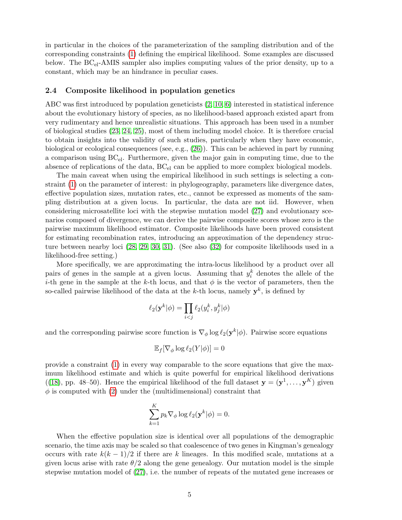in particular in the choices of the parameterization of the sampling distribution and of the corresponding constraints [\(1\)](#page-2-1) defining the empirical likelihood. Some examples are discussed below. The  $BC_{el}$ -AMIS sampler also implies computing values of the prior density, up to a constant, which may be an hindrance in peculiar cases.

#### 2.4 Composite likelihood in population genetics

ABC was first introduced by population geneticists [\(2,](#page-11-1) [10,](#page-11-9) [6\)](#page-11-5) interested in statistical inference about the evolutionary history of species, as no likelihood-based approach existed apart from very rudimentary and hence unrealistic situations. This approach has been used in a number of biological studies [\(23,](#page-12-6) [24,](#page-12-7) [25\)](#page-12-8), most of them including model choice. It is therefore crucial to obtain insights into the validity of such studies, particularly when they have economic, biological or ecological consequences (see, e.g., [\(26\)](#page-12-9)). This can be achieved in part by running a comparison using  $BC_{el}$ . Furthermore, given the major gain in computing time, due to the absence of replications of the data,  $BC_{el}$  can be applied to more complex biological models.

The main caveat when using the empirical likelihood in such settings is selecting a constraint [\(1\)](#page-2-1) on the parameter of interest: in phylogeography, parameters like divergence dates, effective population sizes, mutation rates, etc., cannot be expressed as moments of the sampling distribution at a given locus. In particular, the data are not iid. However, when considering microsatellite loci with the stepwise mutation model [\(27\)](#page-12-10) and evolutionary scenarios composed of divergence, we can derive the pairwise composite scores whose zero is the pairwise maximum likelihood estimator. Composite likelihoods have been proved consistent for estimating recombination rates, introducing an approximation of the dependency structure between nearby loci [\(28,](#page-12-11) [29,](#page-12-12) [30,](#page-12-13) [31\)](#page-12-14). (See also [\(32\)](#page-12-15) for composite likelihoods used in a likelihood-free setting.)

More specifically, we are approximating the intra-locus likelihood by a product over all pairs of genes in the sample at a given locus. Assuming that  $y_i^k$  denotes the allele of the i-th gene in the sample at the k-th locus, and that  $\phi$  is the vector of parameters, then the so-called pairwise likelihood of the data at the k-th locus, namely  $y^k$ , is defined by

$$
\ell_2(\mathbf{y}^k|\phi) = \prod_{i < j} \ell_2(y_i^k, y_j^k|\phi)
$$

and the corresponding pairwise score function is  $\nabla_{\phi} \log \ell_2(\mathbf{y}^k|\phi)$ . Pairwise score equations

$$
\mathbb{E}_f[\nabla_\phi \log \ell_2(Y|\phi)] = 0
$$

provide a constraint [\(1\)](#page-2-1) in every way comparable to the score equations that give the maximum likelihood estimate and which is quite powerful for empirical likelihood derivations ([\(18\)](#page-12-1), pp. 48–50). Hence the empirical likelihood of the full dataset  $\mathbf{y} = (\mathbf{y}^1, \dots, \mathbf{y}^K)$  given  $\phi$  is computed with [\(2\)](#page-2-0) under the (multidimensional) constraint that

$$
\sum_{k=1}^{K} p_k \nabla_{\phi} \log \ell_2(\mathbf{y}^k | \phi) = 0.
$$

When the effective population size is identical over all populations of the demographic scenario, the time axis may be scaled so that coalescence of two genes in Kingman's genealogy occurs with rate  $k(k-1)/2$  if there are k lineages. In this modified scale, mutations at a given locus arise with rate  $\theta/2$  along the gene genealogy. Our mutation model is the simple stepwise mutation model of [\(27\)](#page-12-10), i.e. the number of repeats of the mutated gene increases or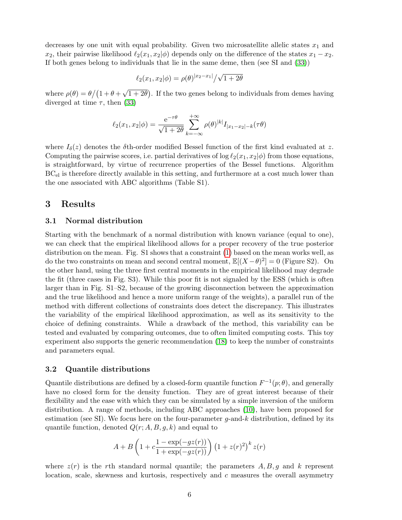decreases by one unit with equal probability. Given two microsatellite allelic states  $x_1$  and  $x_2$ , their pairwise likelihood  $\ell_2(x_1, x_2|\phi)$  depends only on the difference of the states  $x_1 - x_2$ . If both genes belong to individuals that lie in the same deme, then (see SI and [\(33\)](#page-12-16))

$$
\ell_2(x_1, x_2|\phi) = \rho(\theta)^{|x_2 - x_1|}/\sqrt{1 + 2\theta}
$$

where  $\rho(\theta) = \theta/(1 + \theta + \sqrt{\theta})$  $(1+2\theta)$ . If the two genes belong to individuals from demes having diverged at time  $\tau$ , then [\(33\)](#page-12-16)

$$
\ell_2(x_1, x_2 | \phi) = \frac{e^{-\tau \theta}}{\sqrt{1 + 2\theta}} \sum_{k=-\infty}^{+\infty} \rho(\theta)^{|k|} I_{|x_1 - x_2| - k}(\tau \theta)
$$

where  $I_{\delta}(z)$  denotes the  $\delta$ th-order modified Bessel function of the first kind evaluated at z. Computing the pairwise scores, i.e. partial derivatives of  $\log \ell_2(x_1, x_2|\phi)$  from those equations, is straightforward, by virtue of recurrence properties of the Bessel functions. Algorithm  $BC<sub>el</sub>$  is therefore directly available in this setting, and furthermore at a cost much lower than the one associated with ABC algorithms (Table S1).

## 3 Results

#### 3.1 Normal distribution

Starting with the benchmark of a normal distribution with known variance (equal to one), we can check that the empirical likelihood allows for a proper recovery of the true posterior distribution on the mean. Fig. S1 shows that a constraint [\(1\)](#page-2-1) based on the mean works well, as do the two constraints on mean and second central moment,  $\mathbb{E}[(X-\theta)^2] = 0$  (Figure S2). On the other hand, using the three first central moments in the empirical likelihood may degrade the fit (three cases in Fig. S3). While this poor fit is not signaled by the ESS (which is often larger than in Fig. S1–S2, because of the growing disconnection between the approximation and the true likelihood and hence a more uniform range of the weights), a parallel run of the method with different collections of constraints does detect the discrepancy. This illustrates the variability of the empirical likelihood approximation, as well as its sensitivity to the choice of defining constraints. While a drawback of the method, this variability can be tested and evaluated by comparing outcomes, due to often limited computing costs. This toy experiment also supports the generic recommendation [\(18\)](#page-12-1) to keep the number of constraints and parameters equal.

#### 3.2 Quantile distributions

Quantile distributions are defined by a closed-form quantile function  $F^{-1}(p;\theta)$ , and generally have no closed form for the density function. They are of great interest because of their flexibility and the ease with which they can be simulated by a simple inversion of the uniform distribution. A range of methods, including ABC approaches [\(10\)](#page-11-9), have been proposed for estimation (see SI). We focus here on the four-parameter  $g$ -and-k distribution, defined by its quantile function, denoted  $Q(r;A, B, g, k)$  and equal to

$$
A + B\left(1 + c\frac{1 - \exp(-gz(r))}{1 + \exp(-gz(r))}\right) \left(1 + z(r)^{2}\right)^{k} z(r)
$$

where  $z(r)$  is the rth standard normal quantile; the parameters  $A, B, g$  and k represent location, scale, skewness and kurtosis, respectively and  $c$  measures the overall asymmetry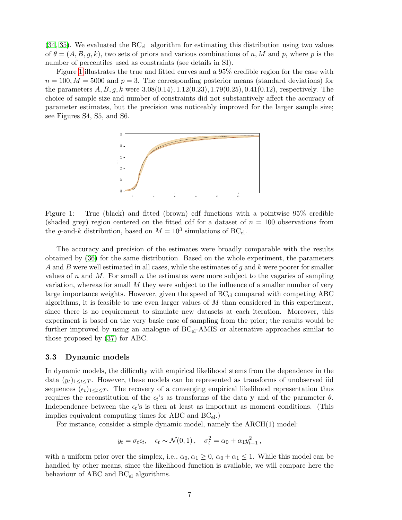$(34, 35)$  $(34, 35)$ . We evaluated the  $BC_{el}$  algorithm for estimating this distribution using two values of  $\theta = (A, B, g, k)$ , two sets of priors and various combinations of n, M and p, where p is the number of percentiles used as constraints (see details in SI).

Figure [1](#page-6-0) illustrates the true and fitted curves and a 95% credible region for the case with  $n = 100, M = 5000$  and  $p = 3$ . The corresponding posterior means (standard deviations) for the parameters  $A, B, q, k$  were  $3.08(0.14), 1.12(0.23), 1.79(0.25), 0.41(0.12)$ , respectively. The choice of sample size and number of constraints did not substantively affect the accuracy of parameter estimates, but the precision was noticeably improved for the larger sample size; see Figures S4, S5, and S6.



<span id="page-6-0"></span>Figure 1: True (black) and fitted (brown) cdf functions with a pointwise 95% credible (shaded grey) region centered on the fitted cdf for a dataset of  $n = 100$  observations from the g-and-k distribution, based on  $M = 10^3$  simulations of BC<sub>el</sub>.

The accuracy and precision of the estimates were broadly comparable with the results obtained by [\(36\)](#page-12-19) for the same distribution. Based on the whole experiment, the parameters A and B were well estimated in all cases, while the estimates of  $g$  and  $k$  were poorer for smaller values of n and M. For small n the estimates were more subject to the vagaries of sampling variation, whereas for small  $M$  they were subject to the influence of a smaller number of very large importance weights. However, given the speed of  $BC_{el}$  compared with competing ABC algorithms, it is feasible to use even larger values of  $M$  than considered in this experiment, since there is no requirement to simulate new datasets at each iteration. Moreover, this experiment is based on the very basic case of sampling from the prior; the results would be further improved by using an analogue of  $BC_{el}$ -AMIS or alternative approaches similar to those proposed by [\(37\)](#page-12-20) for ABC.

#### 3.3 Dynamic models

In dynamic models, the difficulty with empirical likelihood stems from the dependence in the data  $(y_t)_{1 \leq t \leq T}$ . However, these models can be represented as transforms of unobserved iid sequences  $(\epsilon_t)_{1\leq t\leq T}$ . The recovery of a converging empirical likelihood representation thus requires the reconstitution of the  $\epsilon_t$ 's as transforms of the data y and of the parameter  $\theta$ . Independence between the  $\epsilon_t$ 's is then at least as important as moment conditions. (This implies equivalent computing times for ABC and  $BC_{el}$ .)

For instance, consider a simple dynamic model, namely the ARCH(1) model:

$$
y_t = \sigma_t \epsilon_t, \quad \epsilon_t \sim \mathcal{N}(0, 1), \quad \sigma_t^2 = \alpha_0 + \alpha_1 y_{t-1}^2,
$$

with a uniform prior over the simplex, i.e.,  $\alpha_0, \alpha_1 \geq 0$ ,  $\alpha_0 + \alpha_1 \leq 1$ . While this model can be handled by other means, since the likelihood function is available, we will compare here the behaviour of ABC and  $BC_{el}$  algorithms.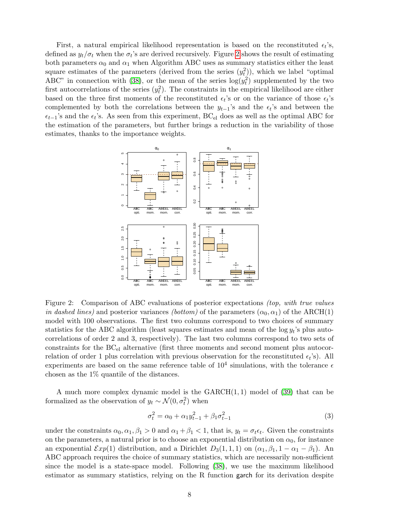First, a natural empirical likelihood representation is based on the reconstituted  $\epsilon_t$ 's, defined as  $y_t/\sigma_t$  when the  $\sigma_t$ 's are derived recursively. Figure [2](#page-7-0) shows the result of estimating both parameters  $\alpha_0$  and  $\alpha_1$  when Algorithm ABC uses as summary statistics either the least square estimates of the parameters (derived from the series  $(y_t^2)$ ), which we label "optimal" ABC" in connection with [\(38\)](#page-12-21), or the mean of the series  $log(y_t^2)$  supplemented by the two first autocorrelations of the series  $(y_t^2)$ . The constraints in the empirical likelihood are either based on the three first moments of the reconstituted  $\epsilon_t$ 's or on the variance of those  $\epsilon_t$ 's complemented by both the correlations between the  $y_{t-1}$ 's and the  $\epsilon_t$ 's and between the  $\epsilon_{t-1}$ 's and the  $\epsilon_t$ 's. As seen from this experiment, BC<sub>el</sub> does as well as the optimal ABC for the estimation of the parameters, but further brings a reduction in the variability of those estimates, thanks to the importance weights.



<span id="page-7-0"></span>Figure 2: Comparison of ABC evaluations of posterior expectations *(top, with true values* in dashed lines) and posterior variances (bottom) of the parameters  $(\alpha_0, \alpha_1)$  of the ARCH(1) model with 100 observations. The first two columns correspond to two choices of summary statistics for the ABC algorithm (least squares estimates and mean of the  $\log y_t$ 's plus autocorrelations of order 2 and 3, respectively). The last two columns correspond to two sets of constraints for the  $BC_{el}$  alternative (first three moments and second moment plus autocorrelation of order 1 plus correlation with previous observation for the reconstituted  $\epsilon_t$ 's). All experiments are based on the same reference table of  $10^4$  simulations, with the tolerance  $\epsilon$ chosen as the 1% quantile of the distances.

A much more complex dynamic model is the  $GARCH(1, 1)$  model of [\(39\)](#page-13-0) that can be formalized as the observation of  $y_t \sim \mathcal{N}(0, \sigma_t^2)$  when

$$
\sigma_t^2 = \alpha_0 + \alpha_1 y_{t-1}^2 + \beta_1 \sigma_{t-1}^2 \tag{3}
$$

under the constraints  $\alpha_0, \alpha_1, \beta_1 > 0$  and  $\alpha_1 + \beta_1 < 1$ , that is,  $y_t = \sigma_t \epsilon_t$ . Given the constraints on the parameters, a natural prior is to choose an exponential distribution on  $\alpha_0$ , for instance an exponential  $Exp(1)$  distribution, and a Dirichlet  $D_3(1,1,1)$  on  $(\alpha_1,\beta_1,1-\alpha_1-\beta_1)$ . An ABC approach requires the choice of summary statistics, which are necessarily non-sufficient since the model is a state-space model. Following [\(38\)](#page-12-21), we use the maximum likelihood estimator as summary statistics, relying on the R function garch for its derivation despite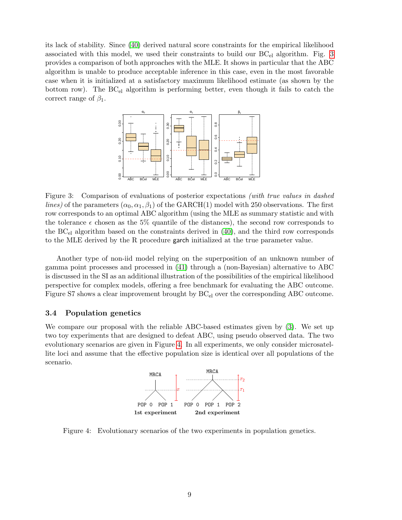its lack of stability. Since [\(40\)](#page-13-1) derived natural score constraints for the empirical likelihood associated with this model, we used their constraints to build our  $BC_{el}$  algorithm. Fig. [3](#page-8-0) provides a comparison of both approaches with the MLE. It shows in particular that the ABC algorithm is unable to produce acceptable inference in this case, even in the most favorable case when it is initialized at a satisfactory maximum likelihood estimate (as shown by the bottom row). The BC<sub>el</sub> algorithm is performing better, even though it fails to catch the correct range of  $\beta_1$ .



<span id="page-8-0"></span>Figure 3: Comparison of evaluations of posterior expectations *(with true values in dashed*) *lines*) of the parameters  $(\alpha_0, \alpha_1, \beta_1)$  of the GARCH(1) model with 250 observations. The first row corresponds to an optimal ABC algorithm (using the MLE as summary statistic and with the tolerance  $\epsilon$  chosen as the 5% quantile of the distances), the second row corresponds to the  $BC_{el}$  algorithm based on the constraints derived in [\(40\)](#page-13-1), and the third row corresponds to the MLE derived by the R procedure garch initialized at the true parameter value.

Another type of non-iid model relying on the superposition of an unknown number of gamma point processes and processed in [\(41\)](#page-13-2) through a (non-Bayesian) alternative to ABC is discussed in the SI as an additional illustration of the possibilities of the empirical likelihood perspective for complex models, offering a free benchmark for evaluating the ABC outcome. Figure S7 shows a clear improvement brought by  $BC_{el}$  over the corresponding ABC outcome.

### 3.4 Population genetics

We compare our proposal with the reliable ABC-based estimates given by [\(3\)](#page-11-2). We set up two toy experiments that are designed to defeat ABC, using pseudo observed data. The two evolutionary scenarios are given in Figure [4.](#page-8-1) In all experiments, we only consider microsatellite loci and assume that the effective population size is identical over all populations of the scenario.



<span id="page-8-1"></span>Figure 4: Evolutionary scenarios of the two experiments in population genetics.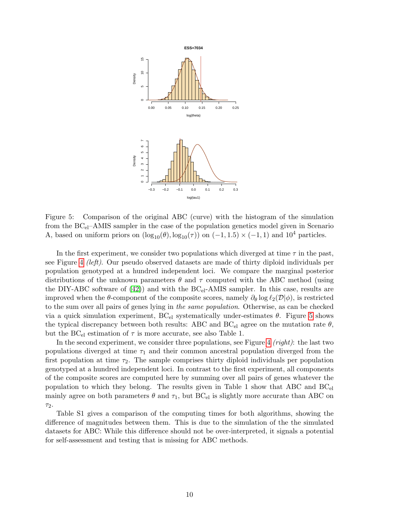

<span id="page-9-0"></span>Figure 5: Comparison of the original ABC (curve) with the histogram of the simulation from the  $BC_{el}$ –AMIS sampler in the case of the population genetics model given in Scenario A, based on uniform priors on  $(\log_{10}(\theta), \log_{10}(\tau))$  on  $(-1, 1.5) \times (-1, 1)$  and  $10^4$  particles.

In the first experiment, we consider two populations which diverged at time  $\tau$  in the past, see Figure [4](#page-8-1) *(left)*. Our pseudo observed datasets are made of thirty diploid individuals per population genotyped at a hundred independent loci. We compare the marginal posterior distributions of the unknown parameters  $\theta$  and  $\tau$  computed with the ABC method (using the DIY-ABC software of [\(42\)](#page-13-3)) and with the  $BC_{el}$ -AMIS sampler. In this case, results are improved when the  $\theta$ -component of the composite scores, namely  $\partial_{\theta} \log \ell_2(\mathcal{D}|\phi)$ , is restricted to the sum over all pairs of genes lying in *the same population*. Otherwise, as can be checked via a quick simulation experiment,  $BC_{el}$  systematically under-estimates  $\theta$ . Figure [5](#page-9-0) shows the typical discrepancy between both results: ABC and  $BC_{el}$  agree on the mutation rate  $\theta$ , but the  $BC_{el}$  estimation of  $\tau$  is more accurate, see also Table 1.

In the second experiment, we consider three populations, see Figure [4](#page-8-1) (right): the last two populations diverged at time  $\tau_1$  and their common ancestral population diverged from the first population at time  $\tau_2$ . The sample comprises thirty diploid individuals per population genotyped at a hundred independent loci. In contrast to the first experiment, all components of the composite scores are computed here by summing over all pairs of genes whatever the population to which they belong. The results given in Table 1 show that ABC and  $BC_{el}$ mainly agree on both parameters  $\theta$  and  $\tau_1$ , but BC<sub>el</sub> is slightly more accurate than ABC on  $\tau_2$ .

Table S1 gives a comparison of the computing times for both algorithms, showing the difference of magnitudes between them. This is due to the simulation of the the simulated datasets for ABC: While this difference should not be over-interpreted, it signals a potential for self-assessment and testing that is missing for ABC methods.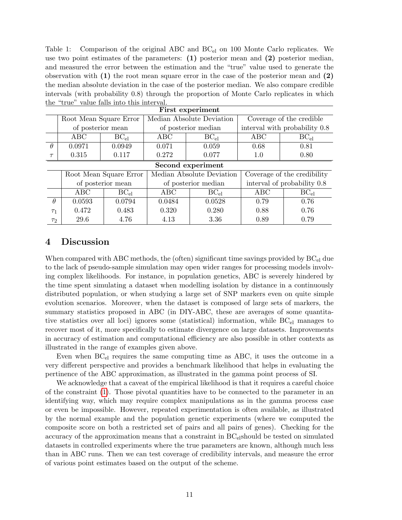Table 1: Comparison of the original ABC and  $BC_{el}$  on 100 Monte Carlo replicates. We use two point estimates of the parameters:  $(1)$  posterior mean and  $(2)$  posterior median, and measured the error between the estimation and the "true" value used to generate the observation with  $(1)$  the root mean square error in the case of the posterior mean and  $(2)$ the median absolute deviation in the case of the posterior median. We also compare credible intervals (with probability 0.8) through the proportion of Monte Carlo replicates in which the "true" value falls into this interval.

| First experiment  |                        |           |                           |           |                               |           |  |  |
|-------------------|------------------------|-----------|---------------------------|-----------|-------------------------------|-----------|--|--|
|                   | Root Mean Square Error |           | Median Absolute Deviation |           | Coverage of the credible      |           |  |  |
|                   | of posterior mean      |           | of posterior median       |           | interval with probability 0.8 |           |  |  |
|                   | ABC                    | $BC_{el}$ | ABC                       | $BC_{el}$ | ABC                           | $BC_{el}$ |  |  |
| $\theta$          | 0.0971                 | 0.0949    | 0.071                     | 0.059     | 0.68                          | 0.81      |  |  |
| $\tau$            | 0.315                  | 0.117     | 0.272                     | 0.077     | 1.0                           | 0.80      |  |  |
| Second experiment |                        |           |                           |           |                               |           |  |  |
|                   | Root Mean Square Error |           | Median Absolute Deviation |           | Coverage of the credibility   |           |  |  |
|                   | of posterior mean      |           | of posterior median       |           | interval of probability 0.8   |           |  |  |
|                   | ABC.                   | $BC_{el}$ | ABC                       | $BC_{el}$ | ABC                           | $BC_{el}$ |  |  |
| $\theta$          | 0.0593                 | 0.0794    | 0.0484                    | 0.0528    | 0.79                          | 0.76      |  |  |
| T <sub>1</sub>    | 0.472                  | 0.483     | 0.320                     | 0.280     | 0.88                          | 0.76      |  |  |
| $\tau_2$          | 29.6                   | 4.76      | 4.13                      | 3.36      | 0.89                          | 0.79      |  |  |

## 4 Discussion

When compared with ABC methods, the (often) significant time savings provided by  $BC_{el}$  due to the lack of pseudo-sample simulation may open wider ranges for processing models involving complex likelihoods. For instance, in population genetics, ABC is severely hindered by the time spent simulating a dataset when modelling isolation by distance in a continuously distributed population, or when studying a large set of SNP markers even on quite simple evolution scenarios. Moreover, when the dataset is composed of large sets of markers, the summary statistics proposed in ABC (in DIY-ABC, these are averages of some quantitative statistics over all loci) ignores some (statistical) information, while  $BC_{el}$  manages to recover most of it, more specifically to estimate divergence on large datasets. Improvements in accuracy of estimation and computational efficiency are also possible in other contexts as illustrated in the range of examples given above.

Even when BCel requires the same computing time as ABC, it uses the outcome in a very different perspective and provides a benchmark likelihood that helps in evaluating the pertinence of the ABC approximation, as illustrated in the gamma point process of SI.

We acknowledge that a caveat of the empirical likelihood is that it requires a careful choice of the constraint [\(1\)](#page-2-1). Those pivotal quantities have to be connected to the parameter in an identifying way, which may require complex manipulations as in the gamma process case or even be impossible. However, repeated experimentation is often available, as illustrated by the normal example and the population genetic experiments (where we computed the composite score on both a restricted set of pairs and all pairs of genes). Checking for the accuracy of the approximation means that a constraint in  $BC<sub>el</sub>$ should be tested on simulated datasets in controlled experiments where the true parameters are known, although much less than in ABC runs. Then we can test coverage of credibility intervals, and measure the error of various point estimates based on the output of the scheme.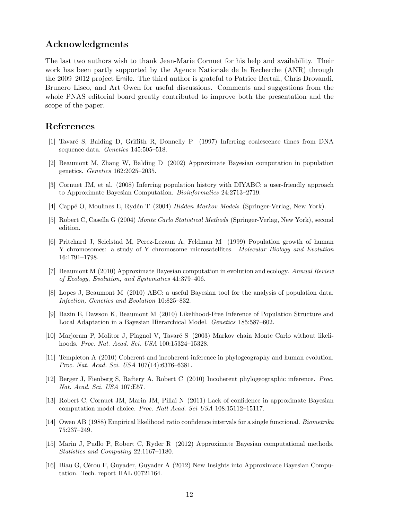## Acknowledgments

The last two authors wish to thank Jean-Marie Cornuet for his help and availability. Their work has been partly supported by the Agence Nationale de la Recherche (ANR) through the 2009–2012 project Emile. The third author is grateful to Patrice Bertail, Chris Drovandi, Brunero Liseo, and Art Owen for useful discussions. Comments and suggestions from the whole PNAS editorial board greatly contributed to improve both the presentation and the scope of the paper.

## References

- <span id="page-11-0"></span>[1] Tavar´e S, Balding D, Griffith R, Donnelly P (1997) Inferring coalescence times from DNA sequence data. Genetics 145:505–518.
- <span id="page-11-1"></span>[2] Beaumont M, Zhang W, Balding D (2002) Approximate Bayesian computation in population genetics. Genetics 162:2025–2035.
- <span id="page-11-2"></span>[3] Cornuet JM, et al. (2008) Inferring population history with DIYABC: a user-friendly approach to Approximate Bayesian Computation. Bioinformatics 24:2713–2719.
- <span id="page-11-3"></span>[4] Cappé O, Moulines E, Rydén T (2004) Hidden Markov Models (Springer-Verlag, New York).
- <span id="page-11-4"></span>[5] Robert C, Casella G (2004) Monte Carlo Statistical Methods (Springer-Verlag, New York), second edition.
- <span id="page-11-5"></span>[6] Pritchard J, Seielstad M, Perez-Lezaun A, Feldman M (1999) Population growth of human Y chromosomes: a study of Y chromosome microsatellites. Molecular Biology and Evolution 16:1791–1798.
- <span id="page-11-6"></span>[7] Beaumont M (2010) Approximate Bayesian computation in evolution and ecology. Annual Review of Ecology, Evolution, and Systematics 41:379–406.
- <span id="page-11-7"></span>[8] Lopes J, Beaumont M (2010) ABC: a useful Bayesian tool for the analysis of population data. Infection, Genetics and Evolution 10:825–832.
- <span id="page-11-8"></span>[9] Bazin E, Dawson K, Beaumont M (2010) Likelihood-Free Inference of Population Structure and Local Adaptation in a Bayesian Hierarchical Model. *Genetics* 185:587–602.
- <span id="page-11-9"></span>[10] Marjoram P, Molitor J, Plagnol V, Tavaré S (2003) Markov chain Monte Carlo without likelihoods. Proc. Nat. Acad. Sci. USA 100:15324–15328.
- <span id="page-11-10"></span>[11] Templeton A (2010) Coherent and incoherent inference in phylogeography and human evolution. Proc. Nat. Acad. Sci. USA 107(14):6376–6381.
- <span id="page-11-11"></span>[12] Berger J, Fienberg S, Raftery A, Robert C (2010) Incoherent phylogeographic inference. Proc. Nat. Acad. Sci. USA 107:E57.
- <span id="page-11-12"></span>[13] Robert C, Cornuet JM, Marin JM, Pillai N (2011) Lack of confidence in approximate Bayesian computation model choice. Proc. Natl Acad. Sci USA 108:15112–15117.
- <span id="page-11-13"></span>[14] Owen AB (1988) Empirical likelihood ratio confidence intervals for a single functional. Biometrika 75:237–249.
- <span id="page-11-14"></span>[15] Marin J, Pudlo P, Robert C, Ryder R (2012) Approximate Bayesian computational methods. Statistics and Computing 22:1167–1180.
- <span id="page-11-15"></span>[16] Biau G, Cérou F, Guyader, Guyader A (2012) New Insights into Approximate Bayesian Computation. Tech. report HAL 00721164.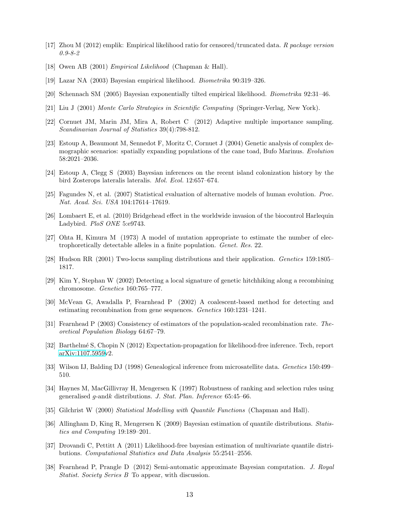- <span id="page-12-0"></span>[17] Zhou M (2012) emplik: Empirical likelihood ratio for censored/truncated data. R package version 0.9-8-2
- <span id="page-12-1"></span>[18] Owen AB (2001) Empirical Likelihood (Chapman & Hall).
- <span id="page-12-2"></span>[19] Lazar NA (2003) Bayesian empirical likelihood. Biometrika 90:319–326.
- <span id="page-12-3"></span>[20] Schennach SM (2005) Bayesian exponentially tilted empirical likelihood. Biometrika 92:31–46.
- <span id="page-12-4"></span>[21] Liu J (2001) Monte Carlo Strategies in Scientific Computing (Springer-Verlag, New York).
- <span id="page-12-5"></span>[22] Cornuet JM, Marin JM, Mira A, Robert C (2012) Adaptive multiple importance sampling. Scandinavian Journal of Statistics 39(4):798-812.
- <span id="page-12-6"></span>[23] Estoup A, Beaumont M, Sennedot F, Moritz C, Cornuet J (2004) Genetic analysis of complex demographic scenarios: spatially expanding populations of the cane toad, Bufo Marinus. Evolution 58:2021–2036.
- <span id="page-12-7"></span>[24] Estoup A, Clegg S (2003) Bayesian inferences on the recent island colonization history by the bird Zosterops lateralis lateralis. Mol. Ecol. 12:657–674.
- <span id="page-12-8"></span>[25] Fagundes N, et al. (2007) Statistical evaluation of alternative models of human evolution. Proc. Nat. Acad. Sci. USA 104:17614–17619.
- <span id="page-12-9"></span>[26] Lombaert E, et al. (2010) Bridgehead effect in the worldwide invasion of the biocontrol Harlequin Ladybird. PloS ONE 5:e9743.
- <span id="page-12-10"></span>[27] Ohta H, Kimura M (1973) A model of mutation appropriate to estimate the number of electrophoretically detectable alleles in a finite population. Genet. Res. 22.
- <span id="page-12-11"></span>[28] Hudson RR (2001) Two-locus sampling distributions and their application. Genetics 159:1805– 1817.
- <span id="page-12-12"></span>[29] Kim Y, Stephan W (2002) Detecting a local signature of genetic hitchhiking along a recombining chromosome. Genetics 160:765–777.
- <span id="page-12-13"></span>[30] McVean G, Awadalla P, Fearnhead P (2002) A coalescent-based method for detecting and estimating recombination from gene sequences. Genetics 160:1231–1241.
- <span id="page-12-14"></span>[31] Fearnhead P (2003) Consistency of estimators of the population-scaled recombination rate. Theoretical Population Biology 64:67–79.
- <span id="page-12-15"></span>[32] Barthelm´e S, Chopin N (2012) Expectation-propagation for likelihood-free inference. Tech, report [arXiv:1107.5959v](http://arxiv.org/abs/1107.5959)2.
- <span id="page-12-16"></span>[33] Wilson IJ, Balding DJ (1998) Genealogical inference from microsatellite data. Genetics 150:499– 510.
- <span id="page-12-17"></span>[34] Haynes M, MacGillivray H, Mengersen K (1997) Robustness of ranking and selection rules using generalised g-andk distributions. J. Stat. Plan. Inference 65:45–66.
- <span id="page-12-18"></span>[35] Gilchrist W (2000) Statistical Modelling with Quantile Functions (Chapman and Hall).
- <span id="page-12-19"></span>[36] Allingham D, King R, Mengersen K (2009) Bayesian estimation of quantile distributions. Statistics and Computing 19:189–201.
- <span id="page-12-20"></span>[37] Drovandi C, Pettitt A (2011) Likelihood-free bayesian estimation of multivariate quantile distributions. Computational Statistics and Data Analysis 55:2541–2556.
- <span id="page-12-21"></span>[38] Fearnhead P, Prangle D (2012) Semi-automatic approximate Bayesian computation. J. Royal Statist. Society Series B To appear, with discussion.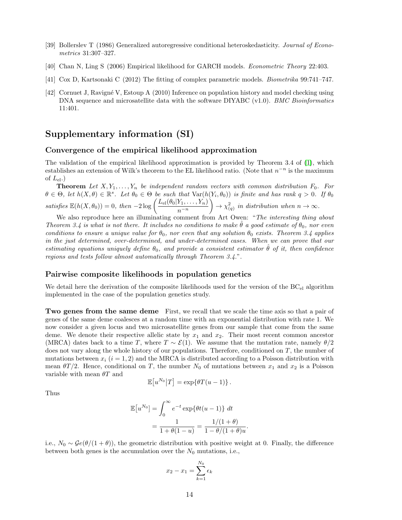- <span id="page-13-0"></span>[39] Bollerslev T (1986) Generalized autoregressive conditional heteroskedasticity. Journal of Econometrics 31:307–327.
- <span id="page-13-1"></span>[40] Chan N, Ling S (2006) Empirical likelihood for GARCH models. Econometric Theory 22:403.
- <span id="page-13-2"></span>[41] Cox D, Kartsonaki C (2012) The fitting of complex parametric models. Biometrika 99:741–747.
- <span id="page-13-3"></span>[42] Cornuet J, Ravign´e V, Estoup A (2010) Inference on population history and model checking using DNA sequence and microsatellite data with the software DIYABC (v1.0). BMC Bioinformatics 11:401.

## Supplementary information (SI)

#### Convergence of the empirical likelihood approximation

The validation of the empirical likelihood approximation is provided by Theorem 3.4 of [\(1\)](#page-16-0), which establishes an extension of Wilk's theorem to the EL likelihood ratio. (Note that  $n^{-n}$  is the maximum of  $L_{el}$ .)

**Theorem** Let  $X, Y_1, \ldots, Y_n$  be independent random vectors with common distribution  $F_0$ . For  $\theta \in \Theta$ , let  $h(X, \theta) \in \mathbb{R}^s$ . Let  $\theta_0 \in \Theta$  be such that  $\text{Var}(h(Y_i, \theta_0))$  is finite and has rank  $q > 0$ . If  $\theta_0$ satisfies  $\mathbb{E}(h(X, \theta_0)) = 0$ , then  $-2\log\left(\frac{L_{\text{el}}(\theta_0|Y_1, \dots, Y_n)}{n-n}\right)$ n<sup>−</sup><sup>n</sup>  $\Big) \rightarrow \chi^2_{(q)}$  in distribution when  $n \rightarrow \infty$ .

We also reproduce here an illuminating comment from Art Owen: "The interesting thing about Theorem 3.4 is what is not there. It includes no conditions to make  $\theta$  a good estimate of  $\theta_0$ , nor even conditions to ensure a unique value for  $\theta_0$ , nor even that any solution  $\theta_0$  exists. Theorem 3.4 applies in the just determined, over-determined, and under-determined cases. When we can prove that our estimating equations uniquely define  $\theta_0$ , and provide a consistent estimator  $\hat{\theta}$  of it, then confidence regions and tests follow almost automatically through Theorem 3.4.".

### Pairwise composite likelihoods in population genetics

We detail here the derivation of the composite likelihoods used for the version of the  $BC_{el}$  algorithm implemented in the case of the population genetics study.

**Two genes from the same deme** First, we recall that we scale the time axis so that a pair of genes of the same deme coalesces at a random time with an exponential distribution with rate 1. We now consider a given locus and two microsatellite genes from our sample that come from the same deme. We denote their respective allelic state by  $x_1$  and  $x_2$ . Their most recent common ancestor (MRCA) dates back to a time T, where  $T \sim \mathcal{E}(1)$ . We assume that the mutation rate, namely  $\theta/2$ does not vary along the whole history of our populations. Therefore, conditioned on T, the number of mutations between  $x_i$   $(i = 1, 2)$  and the MRCA is distributed according to a Poisson distribution with mean  $\theta T/2$ . Hence, conditional on T, the number  $N_0$  of mutations between  $x_1$  and  $x_2$  is a Poisson variable with mean  $\theta T$  and

$$
\mathbb{E}[u^{N_0}|T] = \exp\{\theta T(u-1)\}.
$$

Thus

$$
\mathbb{E}[u^{N_0}] = \int_0^\infty e^{-t} \exp\{\theta t (u-1)\} dt
$$

$$
= \frac{1}{1 + \theta(1-u)} = \frac{1/(1+\theta)}{1 - \theta/(1+\theta)u}
$$

.

i.e.,  $N_0 \sim \mathcal{G}e(\theta/(1+\theta))$ , the geometric distribution with positive weight at 0. Finally, the difference between both genes is the accumulation over the  $N_0$  mutations, i.e.,

$$
x_2 - x_1 = \sum_{k=1}^{N_0} \epsilon_k
$$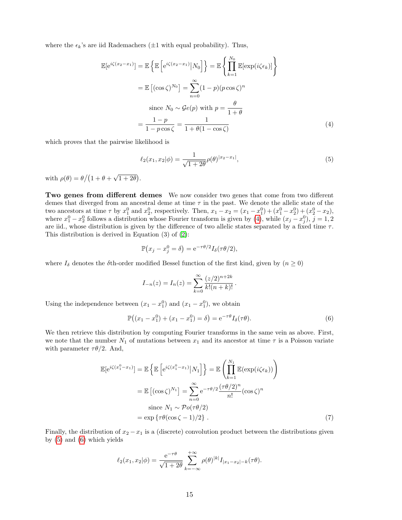where the  $\epsilon_k$ 's are iid Rademachers ( $\pm 1$  with equal probability). Thus,

$$
\mathbb{E}[\mathrm{e}^{i\zeta(x_2 - x_1)}] = \mathbb{E}\left\{\mathbb{E}\left[\mathrm{e}^{i\zeta(x_2 - x_1)}|N_0\right]\right\} = \mathbb{E}\left\{\prod_{k=1}^{N_0}\mathbb{E}[\exp(i\zeta\epsilon_k)]\right\}
$$

$$
= \mathbb{E}\left[(\cos\zeta)^{N_0}\right] = \sum_{n=0}^{\infty}(1-p)(p\cos\zeta)^n
$$

$$
\text{since } N_0 \sim \mathcal{G}e(p) \text{ with } p = \frac{\theta}{1+\theta}
$$

$$
= \frac{1-p}{1-p\cos\zeta} = \frac{1}{1+\theta(1-\cos\zeta)}\tag{4}
$$

which proves that the pairwise likelihood is

<span id="page-14-1"></span><span id="page-14-0"></span>
$$
\ell_2(x_1, x_2 | \phi) = \frac{1}{\sqrt{1 + 2\theta}} \rho(\theta)^{|x_2 - x_1|},\tag{5}
$$

with  $\rho(\theta) = \theta/(1 + \theta + \sqrt{\theta})$  $\overline{1+2\theta}$ ).

Two genes from different demes We now consider two genes that come from two different demes that diverged from an ancestral deme at time  $\tau$  in the past. We denote the allelic state of the two ancestors at time  $\tau$  by  $x_1^0$  and  $x_2^0$ , respectively. Then,  $x_1 - x_2 = (x_1 - x_1^0) + (x_1^0 - x_2^0) + (x_2^0 - x_2)$ , where  $x_1^0 - x_2^0$  follows a distribution whose Fourier transform is given by [\(4\)](#page-14-0), while  $(x_j - x_j^0)$ ,  $j = 1, 2$ are iid., whose distribution is given by the difference of two allelic states separated by a fixed time  $\tau$ . This distribution is derived in Equation (3) of [\(2\)](#page-16-1):

$$
\mathbb{P}(x_j - x_j^0 = \delta) = e^{-\tau \theta/2} I_{\delta}(\tau \theta/2),
$$

where  $I_{\delta}$  denotes the  $\delta$ th-order modified Bessel function of the first kind, given by  $(n \geq 0)$ 

$$
I_{-n}(z) = I_n(z) = \sum_{k=0}^{\infty} \frac{(z/2)^{n+2k}}{k!(n+k)!}.
$$

Using the independence between  $(x_1 - x_1^0)$  and  $(x_1 - x_1^0)$ , we obtain

<span id="page-14-2"></span>
$$
\mathbb{P}((x_1 - x_1^0) + (x_1 - x_1^0) = \delta) = e^{-\tau \theta} I_{\delta}(\tau \theta).
$$
 (6)

We then retrieve this distribution by computing Fourier transforms in the same vein as above. First, we note that the number  $N_1$  of mutations between  $x_1$  and its ancestor at time  $\tau$  is a Poisson variate with parameter  $\tau \theta/2$ . And,

$$
\mathbb{E}[\mathrm{e}^{i\zeta(x_1^0 - x_1)}] = \mathbb{E}\left\{\mathbb{E}\left[\mathrm{e}^{i\zeta(x_1^0 - x_1)}\middle|N_1\right]\right\} = \mathbb{E}\left(\prod_{k=1}^{N_1}\mathbb{E}(\exp(i\zeta\epsilon_k))\right)
$$

$$
= \mathbb{E}\left[(\cos\zeta)^{N_1}\right] = \sum_{n=0}^{\infty}\mathrm{e}^{-\tau\theta/2}\frac{(\tau\theta/2)^n}{n!}(\cos\zeta)^n
$$

$$
\text{since } N_1 \sim \mathcal{P}o(\tau\theta/2)
$$

$$
= \exp\left\{\tau\theta(\cos\zeta - 1)/2\right\}. \tag{7}
$$

Finally, the distribution of  $x_2 - x_1$  is a (discrete) convolution product between the distributions given by [\(5\)](#page-14-1) and [\(6\)](#page-14-2) which yields

$$
\ell_2(x_1, x_2 | \phi) = \frac{e^{-\tau \theta}}{\sqrt{1+2\theta}} \sum_{k=-\infty}^{+\infty} \rho(\theta)^{|k|} I_{|x_1 - x_2| - k}(\tau \theta).
$$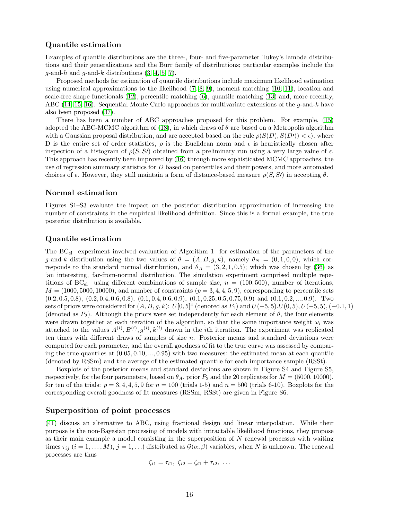### Quantile estimation

Examples of quantile distributions are the three-, four- and five-parameter Tukey's lambda distributions and their generalizations and the Burr family of distributions; particular examples include the  $g$ -and-h and  $g$ -and-k distributions  $(3, 4, 5, 7)$  $(3, 4, 5, 7)$  $(3, 4, 5, 7)$  $(3, 4, 5, 7)$ .

Proposed methods for estimation of quantile distributions include maximum likelihood estimation using numerical approximations to the likelihood  $(7, 8, 9)$  $(7, 8, 9)$  $(7, 8, 9)$ , moment matching  $(10, 11)$  $(10, 11)$ , location and scale-free shape functionals [\(12\)](#page-17-6), percentile matching [\(6\)](#page-17-7), quantile matching [\(13\)](#page-17-8) and, more recently, ABC [\(14,](#page-17-9) [15,](#page-17-10) [16\)](#page-17-11). Sequential Monte Carlo approaches for multivariate extensions of the q-and-k have also been proposed [\(37\)](#page-12-20).

There has been a number of ABC approaches proposed for this problem. For example, [\(15\)](#page-17-10) adopted the ABC-MCMC algorithm of [\(18\)](#page-17-12), in which draws of  $\theta$  are based on a Metropolis algorithm with a Gaussian proposal distribution, and are accepted based on the rule  $\rho(S(D), S(D)) < \epsilon$ , where D is the entire set of order statistics,  $\rho$  is the Euclidean norm and  $\epsilon$  is heuristically chosen after inspection of a histogram of  $\rho(S, S)$  obtained from a preliminary run using a very large value of  $\epsilon$ . This approach has recently been improved by [\(16\)](#page-17-11) through more sophisticated MCMC approaches, the use of regression summary statistics for D based on percentiles and their powers, and more automated choices of  $\epsilon$ . However, they still maintain a form of distance-based measure  $\rho(S, S')$  in accepting  $\theta$ .

#### Normal estimation

Figures S1–S3 evaluate the impact on the posterior distribution approximation of increasing the number of constraints in the empirical likelihood definition. Since this is a formal example, the true posterior distribution is available.

#### Quantile estimation

The BCel experiment involved evaluation of Algorithm 1 for estimation of the parameters of the g-and-k distribution using the two values of  $\theta = (A, B, g, k)$ , namely  $\theta_N = (0, 1, 0, 0)$ , which corresponds to the standard normal distribution, and  $\theta_A = (3, 2, 1, 0.5)$ ; which was chosen by [\(36\)](#page-12-19) as 'an interesting, far-from-normal distribution. The simulation experiment comprised multiple repetitions of BC<sub>el</sub> using different combinations of sample size,  $n = (100, 500)$ , number of iterations,  $M = (1000, 5000, 10000)$ , and number of constraints  $(p = 3, 4, 4, 5, 9)$ , corresponding to percentile sets  $(0.2, 0.5, 0.8), (0.2, 0.4, 0.6, 0.8), (0.1, 0.4, 0.6, 0.9), (0.1, 0.25, 0.5, 0.75, 0.9)$  and  $(0.1, 0.2, ..., 0.9)$ . Two sets of priors were considered for  $(A, B, g, k)$ :  $U[0, 5]^4$  (denoted as  $P_1$ ) and  $U(-5, 5)$ . $U(0, 5)$ ,  $U(-5, 5)$ ,  $(-0.1, 1)$ (denoted as  $P_2$ ). Although the priors were set independently for each element of  $\theta$ , the four elements were drawn together at each iteration of the algorithm, so that the same importance weight  $\omega_i$  was attached to the values  $A^{(i)}, B^{(i)}, g^{(i)}, k^{(i)}$  drawn in the *i*th iteration. The experiment was replicated ten times with different draws of samples of size  $n$ . Posterior means and standard deviations were computed for each parameter, and the overall goodness of fit to the true curve was assessed by comparing the true quantiles at  $(0.05, 0.10, ..., 0.95)$  with two measures: the estimated mean at each quantile (denoted by RSSm) and the average of the estimated quantile for each importance sample (RSSt).

Boxplots of the posterior means and standard deviations are shown in Figure S4 and Figure S5, respectively, for the four parameters, based on  $\theta_A$ , prior  $P_2$  and the 20 replicates for  $M = (5000, 10000)$ , for ten of the trials:  $p = 3, 4, 4, 5, 9$  for  $n = 100$  (trials 1-5) and  $n = 500$  (trials 6-10). Boxplots for the corresponding overall goodness of fit measures (RSSm, RSSt) are given in Figure S6.

#### Superposition of point processes

[\(41\)](#page-13-2) discuss an alternative to ABC, using fractional design and linear interpolation. While their purpose is the non-Bayesian processing of models with intractable likelihood functions, they propose as their main example a model consisting in the superposition of  $N$  renewal processes with waiting times  $\tau_{ij}$   $(i = 1, ..., M)$ ,  $j = 1, ...$ ) distributed as  $\mathcal{G}(\alpha, \beta)$  variables, when N is unknown. The renewal processes are thus

$$
\zeta_{i1} = \tau_{i1}, \ \zeta_{i2} = \zeta_{i1} + \tau_{i2}, \ \ldots
$$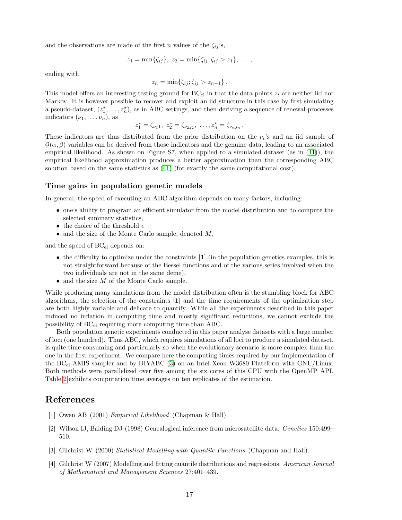and the observations are made of the first n values of the  $\zeta_{ij}$ 's,

$$
z_1 = \min\{\zeta_{ij}\}, \ z_2 = \min\{\zeta_{ij}; \zeta_{ij} > z_1\}, \ \ldots,
$$

ending with

$$
z_n = \min\{\zeta_{ij}; \zeta_{ij} > z_{n-1}\}.
$$

This model offers an interesting testing ground for  $BC_{el}$  in that the data points  $z_t$  are neither iid nor Markov. It is however possible to recover and exploit an iid structure in this case by first simulating a pseudo-dataset,  $(z_1^*,...,z_n^*)$ , as in ABC settings, and then deriving a sequence of renewal processes indicators  $(\nu_1, \ldots, \nu_n)$ , as

$$
z_1^* = \zeta_{\nu_1 1}, \ z_2^* = \zeta_{\nu_2 j_2}, \ \ldots, z_n^* = \zeta_{\nu_n j_n}.
$$

These indicators are thus distributed from the prior distribution on the  $\nu_t$ 's and an iid sample of  $\mathcal{G}(\alpha,\beta)$  variables can be derived from those indicators and the genuine data, leading to an associated empirical likelihood. As shown on Figure S7, when applied to a simulated dataset (as in [\(41\)](#page-13-2)), the empirical likelihood approximation produces a better approximation than the corresponding ABC solution based on the same statistics as [\(41\)](#page-13-2) (for exactly the same computational cost).

### Time gains in population genetic models

In general, the speed of executing an ABC algorithm depends on many factors, including:

- one's ability to program an efficient simulator from the model distribution and to compute the selected summary statistics,
- $\bullet~$  the choice of the threshold  $\epsilon$
- and the size of the Monte Carlo sample, denoted  $M$ ,

and the speed of  $BC_{el}$  depends on:

- the difficulty to optimize under the constraints  $\mathbf{1}$  (in the population genetics examples, this is not straightforward because of the Bessel functions and of the various series involved when the two individuals are not in the same deme),
- $\bullet$  and the size  $M$  of the Monte Carlo sample.

While producing many simulations from the model distribution often is the stumbling block for ABC algorithms, the selection of the constraints  $\begin{bmatrix} 1 \end{bmatrix}$  and the time requirements of the optimization step are both highly variable and delicate to quantify. While all the experiments described in this paper induced no inflation in computing time and mostly significant reductions, we cannot exclude the possibility of  $BC_{el}$  requiring more computing time than ABC.

Both population genetic experiments conducted in this paper analyse datasets with a large number of loci (one hundred). Thus ABC, which requires simulations of all loci to produce a simulated dataset, is quite time consuming and particularly so when the evolutionary scenario is more complex than the one in the first experiment. We compare here the computing times required by our implementation of the BC<sub>el</sub>-AMIS sampler and by DIYABC [\(3\)](#page-11-2) on an Intel Xeon W3680 Plateform with GNU/Linux. Both methods were parallelized over five among the six cores of this CPU with the OpenMP API. Table [2](#page-17-13) exhibits computation time averages on ten replicates of the estimation.

## References

- <span id="page-16-0"></span>[1] Owen AB (2001) Empirical Likelihood (Chapman & Hall).
- <span id="page-16-1"></span>[2] Wilson IJ, Balding DJ (1998) Genealogical inference from microsatellite data. Genetics 150:499– 510.
- <span id="page-16-2"></span>[3] Gilchrist W (2000) Statistical Modelling with Quantile Functions (Chapman and Hall).
- <span id="page-16-3"></span>[4] Gilchrist W (2007) Modelling and fitting quantile distributions and regressions. American Journal of Mathematical and Management Sciences 27:401–439.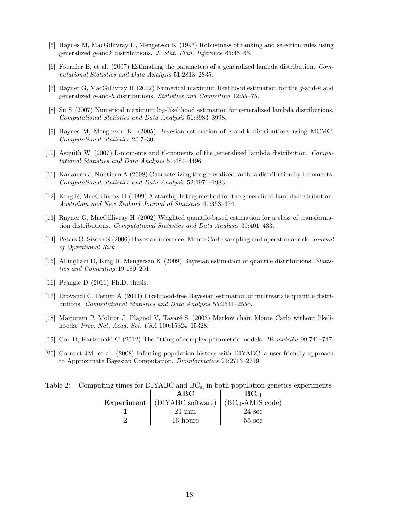- <span id="page-17-0"></span>[5] Haynes M, MacGillivray H, Mengersen K (1997) Robustness of ranking and selection rules using generalized g-andk distributions. J. Stat. Plan. Inference 65:45–66.
- <span id="page-17-7"></span>[6] Fournier B, et al. (2007) Estimating the parameters of a generalized lambda distribution, Computational Statistics and Data Analysis 51:2813–2835.
- <span id="page-17-1"></span>[7] Rayner G, MacGillivray H (2002) Numerical maximum likelihood estimation for the g-and-k and generalized g-and-h distributions. Statistics and Computing 12:55–75.
- <span id="page-17-2"></span>[8] Su S (2007) Numerical maximum log-likelihood estimation for generalized lambda distributions. Computational Statistics and Data Analysis 51:3983–3998.
- <span id="page-17-3"></span>[9] Haynes M, Mengersen K (2005) Bayesian estimation of g-and-k distributions using MCMC. Computational Statistics 20:7–30.
- <span id="page-17-4"></span>[10] Asquith W (2007) L-moments and tl-moments of the generalized lambda distribution. Computational Statistics and Data Analysis 51:484–4496.
- <span id="page-17-5"></span>[11] Karvanen J, Nuutinen A (2008) Characterizing the generalized lambda distribution by l-moments. Computational Statistics and Data Analysis 52:1971–1983.
- <span id="page-17-6"></span>[12] King R, MacGillivray H (1999) A starship fitting method for the generalized lambda distribution. Australian and New Zealand Journal of Statistics 41:353–374.
- <span id="page-17-8"></span>[13] Rayner G, MacGillivray H (2002) Weighted quantile-based estimation for a class of transformation distributions. Computational Statistics and Data Analysis 39:401–433.
- <span id="page-17-9"></span>[14] Peters G, Sisson S (2006) Bayesian inference, Monte Carlo sampling and operational risk. Journal of Operational Risk 1.
- <span id="page-17-10"></span>[15] Allingham D, King R, Mengersen K (2009) Bayesian estimation of quantile distributions. Statistics and Computing 19:189–201.
- <span id="page-17-11"></span>[16] Prangle D (2011) Ph.D. thesis.
- [17] Drovandi C, Pettitt A (2011) Likelihood-free Bayesian estimation of multivariate quantile distributions. Computational Statistics and Data Analysis 55:2541–2556.
- <span id="page-17-12"></span>[18] Marjoram P, Molitor J, Plagnol V, Tavaré S (2003) Markov chain Monte Carlo without likelihoods. Proc. Nat. Acad. Sci. USA 100:15324–15328.
- [19] Cox D, Kartsonaki C (2012) The fitting of complex parametric models. Biometrika 99:741–747.
- [20] Cornuet JM, et al. (2008) Inferring population history with DIYABC: a user-friendly approach to Approximate Bayesian Computation. Bioinformatics 24:2713–2719.

<span id="page-17-13"></span>Table 2: Computing times for DIYABC and BC<sub>el</sub> in both population genetics experiments

| ABC                                                            | $BC_{el}$        |
|----------------------------------------------------------------|------------------|
| Experiment   (DIYABC software)   (BC <sub>el</sub> -AMIS code) |                  |
| $21 \text{ min}$                                               | $24 \text{ sec}$ |
| 16 hours                                                       | $55 \text{ sec}$ |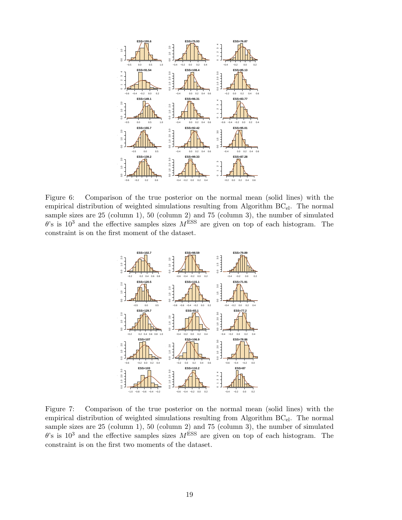

Figure 6: Comparison of the true posterior on the normal mean (solid lines) with the empirical distribution of weighted simulations resulting from Algorithm  $BC_{el}$ . The normal sample sizes are 25 (column 1), 50 (column 2) and 75 (column 3), the number of simulated  $\theta$ 's is 10<sup>3</sup> and the effective samples sizes  $M$ <sup>ESS</sup> are given on top of each histogram. The constraint is on the first moment of the dataset.



Figure 7: Comparison of the true posterior on the normal mean (solid lines) with the empirical distribution of weighted simulations resulting from Algorithm  $BC_{el}$ . The normal sample sizes are 25 (column 1), 50 (column 2) and 75 (column 3), the number of simulated  $\theta$ 's is 10<sup>3</sup> and the effective samples sizes  $M$ <sup>ESS</sup> are given on top of each histogram. The constraint is on the first two moments of the dataset.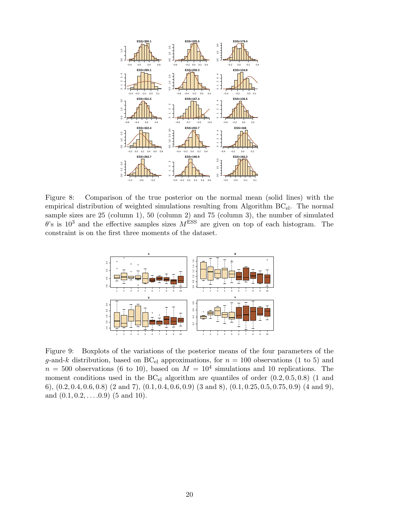

Figure 8: Comparison of the true posterior on the normal mean (solid lines) with the empirical distribution of weighted simulations resulting from Algorithm  $BC_{el}$ . The normal sample sizes are 25 (column 1), 50 (column 2) and 75 (column 3), the number of simulated  $\theta$ 's is 10<sup>3</sup> and the effective samples sizes  $M<sup>ESS</sup>$  are given on top of each histogram. The constraint is on the first three moments of the dataset.



<span id="page-19-0"></span>Figure 9: Boxplots of the variations of the posterior means of the four parameters of the g-and-k distribution, based on BC<sub>el</sub> approximations, for  $n = 100$  observations (1 to 5) and  $n = 500$  observations (6 to 10), based on  $M = 10<sup>4</sup>$  simulations and 10 replications. The moment conditions used in the  $BC_{el}$  algorithm are quantiles of order  $(0.2, 0.5, 0.8)$  (1 and 6),  $(0.2, 0.4, 0.6, 0.8)$   $(2 \text{ and } 7)$ ,  $(0.1, 0.4, 0.6, 0.9)$   $(3 \text{ and } 8)$ ,  $(0.1, 0.25, 0.5, 0.75, 0.9)$   $(4 \text{ and } 9)$ , and  $(0.1, 0.2, \ldots.0.9)$  (5 and 10).